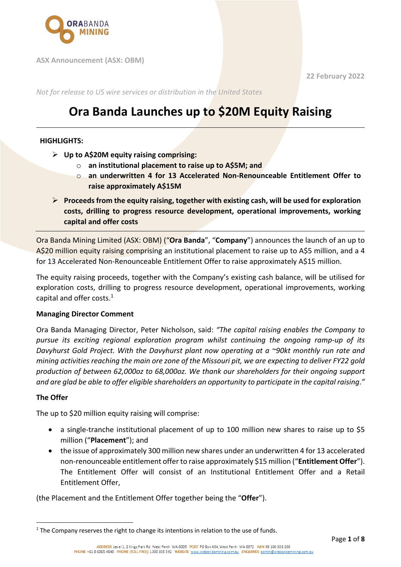

**ASX Announcement (ASX: OBM)**

**22 February 2022**

*Not for release to US wire services or distribution in the United States*

# **Ora Banda Launches up to \$20M Equity Raising**

## **HIGHLIGHTS:**

- Ø **Up to A\$20M equity raising comprising:**
	- o **an institutional placement to raise up to A\$5M; and**
	- o **an underwritten 4 for 13 Accelerated Non-Renounceable Entitlement Offer to raise approximately A\$15M**
- Ø **Proceeds from the equity raising, together with existing cash, will be used for exploration costs, drilling to progress resource development, operational improvements, working capital and offer costs**

Ora Banda Mining Limited (ASX: OBM) ("**Ora Banda**", "**Company**") announces the launch of an up to A\$20 million equity raising comprising an institutional placement to raise up to A\$5 million, and a 4 for 13 Accelerated Non-Renounceable Entitlement Offer to raise approximately A\$15 million.

The equity raising proceeds, together with the Company's existing cash balance, will be utilised for exploration costs, drilling to progress resource development, operational improvements, working capital and offer costs.<sup>1</sup>

## **Managing Director Comment**

Ora Banda Managing Director, Peter Nicholson, said: *"The capital raising enables the Company to pursue its exciting regional exploration program whilst continuing the ongoing ramp-up of its Davyhurst Gold Project. With the Davyhurst plant now operating at a ~90kt monthly run rate and mining activities reaching the main ore zone of the Missouri pit, we are expecting to deliver FY22 gold production of between 62,000oz to 68,000oz. We thank our shareholders for their ongoing support and are glad be able to offer eligible shareholders an opportunity to participate in the capital raising*.*"* 

# **The Offer**

The up to \$20 million equity raising will comprise:

- a single-tranche institutional placement of up to 100 million new shares to raise up to \$5 million ("**Placement**"); and
- the issue of approximately 300 million new shares under an underwritten 4 for 13 accelerated non-renounceable entitlement offer to raise approximately \$15 million ("**Entitlement Offer**"). The Entitlement Offer will consist of an Institutional Entitlement Offer and a Retail Entitlement Offer,

(the Placement and the Entitlement Offer together being the "**Offer**").

 $<sup>1</sup>$  The Company reserves the right to change its intentions in relation to the use of funds.</sup>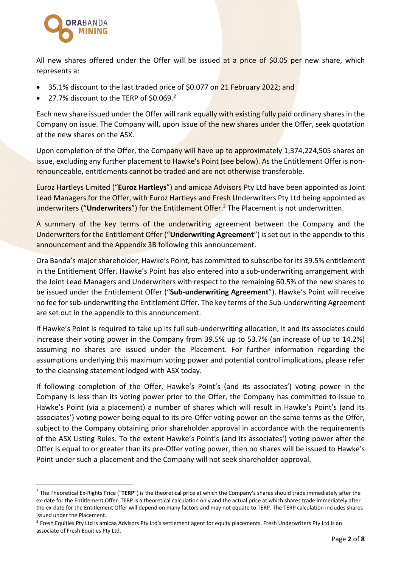

All new shares offered under the Offer will be issued at a price of \$0.05 per new share, which represents a:

- 35.1% discount to the last traded price of \$0.077 on 21 February 2022; and
- 27.7% discount to the TERP of \$0.069.<sup>2</sup>

Each new share issued under the Offer will rank equally with existing fully paid ordinary shares in the Company on issue. The Company will, upon issue of the new shares under the Offer, seek quotation of the new shares on the ASX.

Upon completion of the Offer, the Company will have up to approximately 1,374,224,505 shares on issue, excluding any further placement to Hawke's Point (see below). As the Entitlement Offer is nonrenounceable, entitlements cannot be traded and are not otherwise transferable.

Euroz Hartleys Limited ("**Euroz Hartleys**") and amicaa Advisors Pty Ltd have been appointed as Joint Lead Managers for the Offer, with Euroz Hartleys and Fresh Underwriters Pty Ltd being appointed as underwriters ("**Underwriters**") for the Entitlement Offer. <sup>3</sup> The Placement is not underwritten.

A summary of the key terms of the underwriting agreement between the Company and the Underwriters for the Entitlement Offer ("Underwriting Agreement") is set out in the appendix to this announcement and the Appendix 3B following this announcement.

Ora Banda's major shareholder, Hawke's Point, has committed to subscribe for its 39.5% entitlement in the Entitlement Offer. Hawke's Point has also entered into a sub-underwriting arrangement with the Joint Lead Managers and Underwriters with respect to the remaining 60.5% of the new shares to be issued under the Entitlement Offer ("**Sub-underwriting Agreement**"). Hawke's Point will receive no fee for sub-underwriting the Entitlement Offer. The key terms of the Sub-underwriting Agreement are set out in the appendix to this announcement.

If Hawke's Point is required to take up its full sub-underwriting allocation, it and its associates could increase their voting power in the Company from 39.5% up to 53.7% (an increase of up to 14.2%) assuming no shares are issued under the Placement. For further information regarding the assumptions underlying this maximum voting power and potential control implications, please refer to the cleansing statement lodged with ASX today.

If following completion of the Offer, Hawke's Point's (and its associates') voting power in the Company is less than its voting power prior to the Offer, the Company has committed to issue to Hawke's Point (via a placement) a number of shares which will result in Hawke's Point's (and its associates') voting power being equal to its pre-Offer voting power on the same terms as the Offer, subject to the Company obtaining prior shareholder approval in accordance with the requirements of the ASX Listing Rules. To the extent Hawke's Point's (and its associates') voting power after the Offer is equal to or greater than its pre-Offer voting power, then no shares will be issued to Hawke's Point under such a placement and the Company will not seek shareholder approval.

<sup>&</sup>lt;sup>2</sup> The Theoretical Ex-Rights Price ("TERP") is the theoretical price at which the Company's shares should trade immediately after the ex-date for the Entitlement Offer. TERP is a theoretical calculation only and the actual price at which shares trade immediately after the ex-date for the Entitlement Offer will depend on many factors and may not equate to TERP. The TERP calculation includes shares issued under the Placement.

<sup>&</sup>lt;sup>3</sup> Fresh Equities Pty Ltd is amicaa Advisors Pty Ltd's settlement agent for equity placements. Fresh Underwriters Pty Ltd is an associate of Fresh Equities Pty Ltd.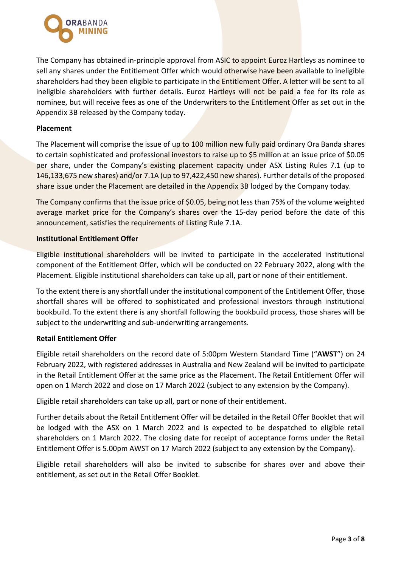

The Company has obtained in-principle approval from ASIC to appoint Euroz Hartleys as nominee to sell any shares under the Entitlement Offer which would otherwise have been available to ineligible shareholders had they been eligible to participate in the **Entitlement Offer.** A letter will be sent to all ineligible shareholders with further details. Euroz Hartleys will not be paid a fee for its role as nominee, but will receive fees as one of the Underwriters to the Entitlement Offer as set out in the Appendix 3B released by the Company today.

## **Placement**

The Placement will comprise the issue of up to 100 million new fully paid ordinary Ora Banda shares to certain sophisticated and professional investors to raise up to \$5 million at an issue price of \$0.05 per share, under the Company's existing placement capacity under ASX Listing Rules 7.1 (up to 146,133,675 new shares) and/or 7.1A (up to 97,422,450 new shares). Further details of the proposed share issue under the Placement are detailed in the Appendix 3B lodged by the Company today.

The Company confirms that the issue price of \$0.05, being not less than 75% of the volume weighted average market price for the Company's shares over the 15-day period before the date of this announcement, satisfies the requirements of Listing Rule 7.1A.

## **Institutional Entitlement Offer**

Eligible institutional shareholders will be invited to participate in the accelerated institutional component of the Entitlement Offer, which will be conducted on 22 February 2022, along with the Placement. Eligible institutional shareholders can take up all, part or none of their entitlement.

To the extent there is any shortfall under the institutional component of the Entitlement Offer, those shortfall shares will be offered to sophisticated and professional investors through institutional bookbuild. To the extent there is any shortfall following the bookbuild process, those shares will be subject to the underwriting and sub-underwriting arrangements.

## **Retail Entitlement Offer**

Eligible retail shareholders on the record date of 5:00pm Western Standard Time ("**AWST**") on 24 February 2022, with registered addresses in Australia and New Zealand will be invited to participate in the Retail Entitlement Offer at the same price as the Placement. The Retail Entitlement Offer will open on 1 March 2022 and close on 17 March 2022 (subject to any extension by the Company).

Eligible retail shareholders can take up all, part or none of their entitlement.

Further details about the Retail Entitlement Offer will be detailed in the Retail Offer Booklet that will be lodged with the ASX on 1 March 2022 and is expected to be despatched to eligible retail shareholders on 1 March 2022. The closing date for receipt of acceptance forms under the Retail Entitlement Offer is 5.00pm AWST on 17 March 2022 (subject to any extension by the Company).

Eligible retail shareholders will also be invited to subscribe for shares over and above their entitlement, as set out in the Retail Offer Booklet.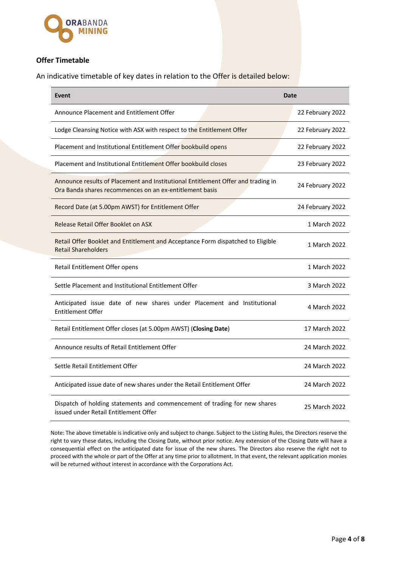

## **Offer Timetable**

An indicative timetable of key dates in relation to the Offer is detailed below:

| Event                                                                                                                                       | <b>Date</b>      |
|---------------------------------------------------------------------------------------------------------------------------------------------|------------------|
| Announce Placement and Entitlement Offer                                                                                                    | 22 February 2022 |
| Lodge Cleansing Notice with ASX with respect to the Entitlement Offer                                                                       | 22 February 2022 |
| Placement and Institutional Entitlement Offer bookbuild opens                                                                               | 22 February 2022 |
| Placement and Institutional Entitlement Offer bookbuild closes                                                                              | 23 February 2022 |
| Announce results of Placement and Institutional Entitlement Offer and trading in<br>Ora Banda shares recommences on an ex-entitlement basis | 24 February 2022 |
| Record Date (at 5.00pm AWST) for Entitlement Offer                                                                                          | 24 February 2022 |
| Release Retail Offer Booklet on ASX                                                                                                         | 1 March 2022     |
| Retail Offer Booklet and Entitlement and Acceptance Form dispatched to Eligible<br><b>Retail Shareholders</b>                               | 1 March 2022     |
| Retail Entitlement Offer opens                                                                                                              | 1 March 2022     |
| Settle Placement and Institutional Entitlement Offer                                                                                        | 3 March 2022     |
| Anticipated issue date of new shares under Placement and Institutional<br><b>Entitlement Offer</b>                                          | 4 March 2022     |
| Retail Entitlement Offer closes (at 5.00pm AWST) (Closing Date)                                                                             | 17 March 2022    |
| Announce results of Retail Entitlement Offer                                                                                                | 24 March 2022    |
| Settle Retail Entitlement Offer                                                                                                             | 24 March 2022    |
| Anticipated issue date of new shares under the Retail Entitlement Offer                                                                     | 24 March 2022    |
| Dispatch of holding statements and commencement of trading for new shares<br>issued under Retail Entitlement Offer                          | 25 March 2022    |

Note: The above timetable is indicative only and subject to change. Subject to the Listing Rules, the Directors reserve the right to vary these dates, including the Closing Date, without prior notice. Any extension of the Closing Date will have a consequential effect on the anticipated date for issue of the new shares. The Directors also reserve the right not to proceed with the whole or part of the Offer at any time prior to allotment. In that event, the relevant application monies will be returned without interest in accordance with the Corporations Act.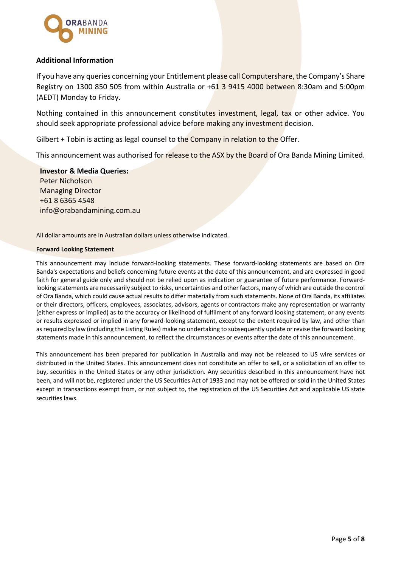

## **Additional Information**

If you have any queries concerning your Entitlement please call Computershare, the Company's Share Registry on 1300 850 505 from within Australia or +61 3 9415 4000 between 8:30am and 5:00pm (AEDT) Monday to Friday.

Nothing contained in this announcement constitutes investment, legal, tax or other advice. You should seek appropriate professional advice before making any investment decision.

Gilbert + Tobin is acting as legal counsel to the Company in relation to the Offer.

This announcement was authorised for release to the ASX by the Board of Ora Banda Mining Limited.

**Investor & Media Queries:** Peter Nicholson Managing Director +61 8 6365 4548 info@orabandamining.com.au

All dollar amounts are in Australian dollars unless otherwise indicated.

#### **Forward Looking Statement**

This announcement may include forward-looking statements. These forward-looking statements are based on Ora Banda's expectations and beliefs concerning future events at the date of this announcement, and are expressed in good faith for general guide only and should not be relied upon as indication or guarantee of future performance. Forwardlooking statements are necessarily subject to risks, uncertainties and other factors, many of which are outside the control of Ora Banda, which could cause actual results to differ materially from such statements. None of Ora Banda, its affiliates or their directors, officers, employees, associates, advisors, agents or contractors make any representation or warranty (either express or implied) as to the accuracy or likelihood of fulfilment of any forward looking statement, or any events or results expressed or implied in any forward-looking statement, except to the extent required by law, and other than as required by law (including the Listing Rules) make no undertaking to subsequently update or revise the forward looking statements made in this announcement, to reflect the circumstances or events after the date of this announcement.

This announcement has been prepared for publication in Australia and may not be released to US wire services or distributed in the United States. This announcement does not constitute an offer to sell, or a solicitation of an offer to buy, securities in the United States or any other jurisdiction. Any securities described in this announcement have not been, and will not be, registered under the US Securities Act of 1933 and may not be offered or sold in the United States except in transactions exempt from, or not subject to, the registration of the US Securities Act and applicable US state securities laws.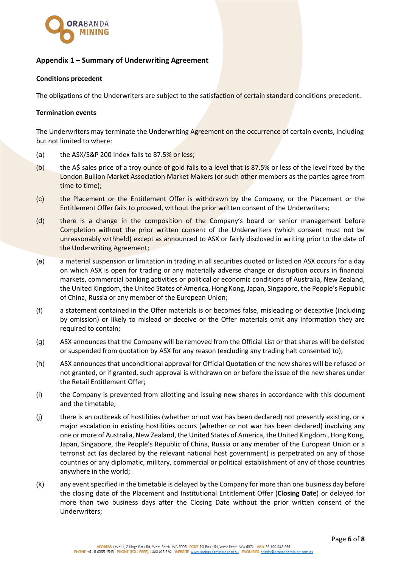

## **Appendix 1 – Summary of Underwriting Agreement**

#### **Conditions precedent**

The obligations of the Underwriters are subject to the satisfaction of certain standard conditions precedent.

#### **Termination events**

The Underwriters may terminate the Underwriting Agreement on the occurrence of certain events, including but not limited to where:

- (a) the ASX/S&P 200 Index falls to 87.5% or less;
- (b) the A\$ sales price of a troy ounce of gold falls to a level that is 87.5% or less of the level fixed by the London Bullion Market Association Market Makers (or such other members as the parties agree from time to time);
- (c) the Placement or the Entitlement Offer is withdrawn by the Company, or the Placement or the Entitlement Offer fails to proceed, without the prior written consent of the Underwriters;
- (d) there is a change in the composition of the Company's board or senior management before Completion without the prior written consent of the Underwriters (which consent must not be unreasonably withheld) except as announced to ASX or fairly disclosed in writing prior to the date of the Underwriting Agreement;
- (e) a material suspension or limitation in trading in all securities quoted or listed on ASX occurs for a day on which ASX is open for trading or any materially adverse change or disruption occurs in financial markets, commercial banking activities or political or economic conditions of Australia, New Zealand, the United Kingdom, the United States of America, Hong Kong, Japan, Singapore, the People's Republic of China, Russia or any member of the European Union;
- (f) a statement contained in the Offer materials is or becomes false, misleading or deceptive (including by omission) or likely to mislead or deceive or the Offer materials omit any information they are required to contain;
- (g) ASX announces that the Company will be removed from the Official List or that shares will be delisted or suspended from quotation by ASX for any reason (excluding any trading halt consented to);
- (h) ASX announces that unconditional approval for Official Quotation of the new shares will be refused or not granted, or if granted, such approval is withdrawn on or before the issue of the new shares under the Retail Entitlement Offer;
- (i) the Company is prevented from allotting and issuing new shares in accordance with this document and the timetable;
- (j) there is an outbreak of hostilities (whether or not war has been declared) not presently existing, or a major escalation in existing hostilities occurs (whether or not war has been declared) involving any one or more of Australia, New Zealand, the United States of America, the United Kingdom , Hong Kong, Japan, Singapore, the People's Republic of China, Russia or any member of the European Union or a terrorist act (as declared by the relevant national host government) is perpetrated on any of those countries or any diplomatic, military, commercial or political establishment of any of those countries anywhere in the world;
- (k) any event specified in the timetable is delayed by the Company for more than one business day before the closing date of the Placement and Institutional Entitlement Offer (**Closing Date**) or delayed for more than two business days after the Closing Date without the prior written consent of the Underwriters;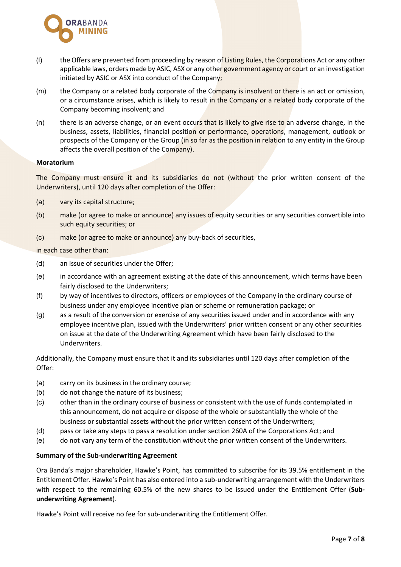

- (I) the Offers are prevented from proceeding by reason of Listing Rules, the Corporations Act or any other applicable laws, orders made by ASIC, ASX or any other government agency or court or an investigation initiated by ASIC or ASX into conduct of the Company;
- (m) the Company or a related body corporate of the Company is insolvent or there is an act or omission, or a circumstance arises, which is likely to result in the Company or a related body corporate of the Company becoming insolvent; and
- (n) there is an adverse change, or an event occurs that is likely to give rise to an adverse change, in the business, assets, liabilities, financial position or performance, operations, management, outlook or prospects of the Company or the Group (in so far as the position in relation to any entity in the Group affects the overall position of the Company).

#### **Moratorium**

The Company must ensure it and its subsidiaries do not (without the prior written consent of the Underwriters), until 120 days after completion of the Offer:

- (a) vary its capital structure;
- (b) make (or agree to make or announce) any issues of equity securities or any securities convertible into such equity securities; or
- (c) make (or agree to make or announce) any buy-back of securities,

in each case other than:

- (d) an issue of securities under the Offer;
- (e) in accordance with an agreement existing at the date of this announcement, which terms have been fairly disclosed to the Underwriters;
- (f) by way of incentives to directors, officers or employees of the Company in the ordinary course of business under any employee incentive plan or scheme or remuneration package; or
- (g) as a result of the conversion or exercise of any securities issued under and in accordance with any employee incentive plan, issued with the Underwriters' prior written consent or any other securities on issue at the date of the Underwriting Agreement which have been fairly disclosed to the Underwriters.

Additionally, the Company must ensure that it and its subsidiaries until 120 days after completion of the Offer:

- (a) carry on its business in the ordinary course;
- (b) do not change the nature of its business;
- (c) other than in the ordinary course of business or consistent with the use of funds contemplated in this announcement, do not acquire or dispose of the whole or substantially the whole of the business or substantial assets without the prior written consent of the Underwriters;
- (d) pass or take any steps to pass a resolution under section 260A of the Corporations Act; and
- (e) do not vary any term of the constitution without the prior written consent of the Underwriters.

#### **Summary of the Sub-underwriting Agreement**

Ora Banda's major shareholder, Hawke's Point, has committed to subscribe for its 39.5% entitlement in the Entitlement Offer. Hawke's Point has also entered into a sub-underwriting arrangement with the Underwriters with respect to the remaining 60.5% of the new shares to be issued under the Entitlement Offer (**Subunderwriting Agreement**).

Hawke's Point will receive no fee for sub-underwriting the Entitlement Offer.